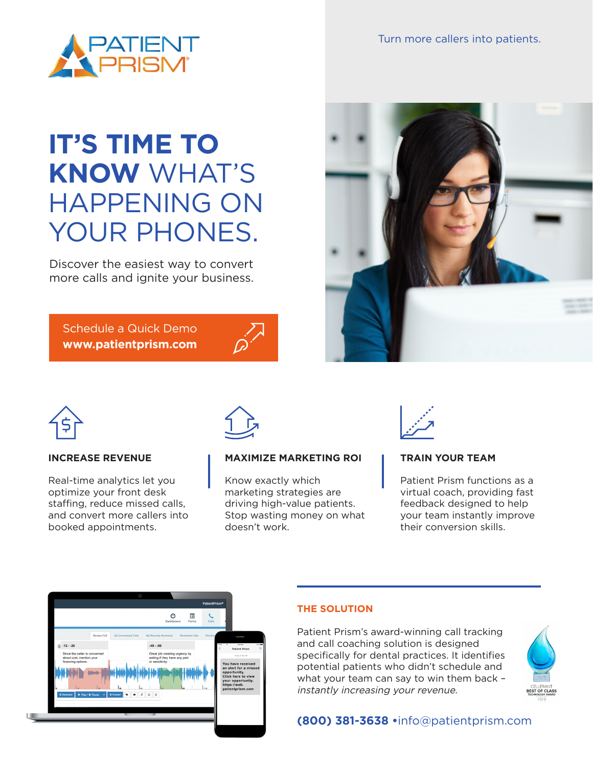

Turn more callers into patients.

# **IT'S TIME TO KNOW** WHAT'S HAPPENING ON YOUR PHONES.

Discover the easiest way to convert more calls and ignite your business.

Schedule a Quick Demo **www.patientprism.com**







#### **INCREASE REVENUE**

Real-time analytics let you optimize your front desk staffing, reduce missed calls, and convert more callers into booked appointments.



#### **MAXIMIZE MARKETING ROI**

Know exactly which marketing strategies are driving high-value patients. Stop wasting money on what doesn't work.



#### **TRAIN YOUR TEAM**

Patient Prism functions as a virtual coach, providing fast feedback designed to help your team instantly improve their conversion skills.



#### **THE SOLUTION**

Patient Prism's award-winning call tracking and call coaching solution is designed specifically for dental practices. It identifies potential patients who didn't schedule and what your team can say to win them back – instantly increasing your revenue.



### **(800) 381-3638 •**info@patientprism.com